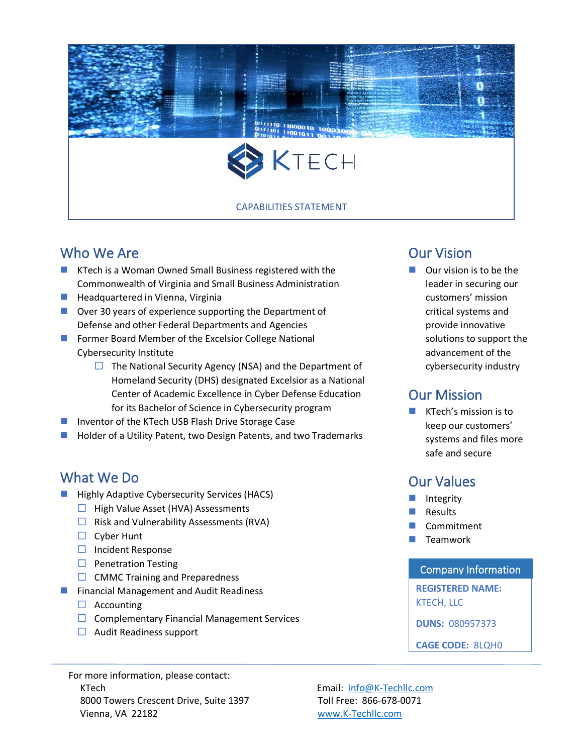

## Who We Are

- **KTech is a Woman Owned Small Business registered with the** Commonwealth of Virginia and Small Business Administration
- **Headquartered in Vienna, Virginia**
- Over 30 years of experience supporting the Department of Defense and other Federal Departments and Agencies
- **Former Board Member of the Excelsior College National** Cybersecurity Institute
	- $\Box$  The National Security Agency (NSA) and the Department of Homeland Security (DHS) designated Excelsior as a National Center of Academic Excellence in Cyber Defense Education for its Bachelor of Science in Cybersecurity program
- Inventor of the KTech USB Flash Drive Storage Case
- Holder of a Utility Patent, two Design Patents, and two Trademarks

## What We Do

- Highly Adaptive Cybersecurity Services (HACS)
	- $\Box$  High Value Asset (HVA) Assessments
	- $\Box$  Risk and Vulnerability Assessments (RVA)
	- $\Box$  Cyber Hunt
	- $\Box$  Incident Response
	- $\Box$  Penetration Testing
	- $\Box$  CMMC Training and Preparedness
- **Financial Management and Audit Readiness** 
	- $\Box$  Accounting
	- $\Box$  Complementary Financial Management Services
	- $\Box$  Audit Readiness support

For more information, please contact: KTech **Email:** [Info@K-Techllc.com](mailto:Info@K-Techllc.com) 8000 Towers Crescent Drive, Suite 1397 Toll Free: 866-678-0071 Vienna, VA 22182 [www.K-Techllc.com](http://www.k-techllc.com/)

### Our Vision

 $\Box$  Our vision is to be the leader in securing our customers' mission critical systems and provide innovative solutions to support the advancement of the cybersecurity industry

### Our Mission

**KTech's mission is to** keep our customers' systems and files more safe and secure

### Our Values

- Integrity
- Results
- Commitment
- Teamwork

#### Company Information

**REGISTERED NAME:**

KTECH, LLC

**DUNS:** 080957373

**CAGE CODE:** 8LQH0